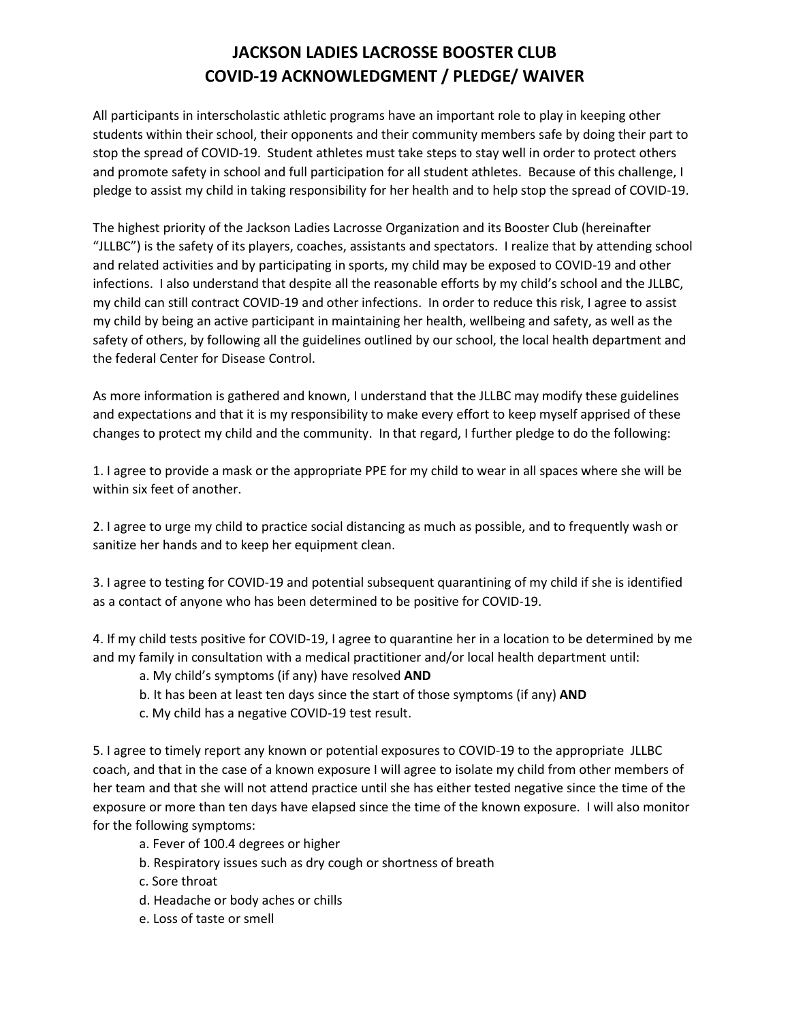## **JACKSON LADIES LACROSSE BOOSTER CLUB COVID-19 ACKNOWLEDGMENT / PLEDGE/ WAIVER**

All participants in interscholastic athletic programs have an important role to play in keeping other students within their school, their opponents and their community members safe by doing their part to stop the spread of COVID-19. Student athletes must take steps to stay well in order to protect others and promote safety in school and full participation for all student athletes. Because of this challenge, I pledge to assist my child in taking responsibility for her health and to help stop the spread of COVID-19.

The highest priority of the Jackson Ladies Lacrosse Organization and its Booster Club (hereinafter "JLLBC") is the safety of its players, coaches, assistants and spectators. I realize that by attending school and related activities and by participating in sports, my child may be exposed to COVID-19 and other infections. I also understand that despite all the reasonable efforts by my child's school and the JLLBC, my child can still contract COVID-19 and other infections. In order to reduce this risk, I agree to assist my child by being an active participant in maintaining her health, wellbeing and safety, as well as the safety of others, by following all the guidelines outlined by our school, the local health department and the federal Center for Disease Control.

As more information is gathered and known, I understand that the JLLBC may modify these guidelines and expectations and that it is my responsibility to make every effort to keep myself apprised of these changes to protect my child and the community. In that regard, I further pledge to do the following:

1. I agree to provide a mask or the appropriate PPE for my child to wear in all spaces where she will be within six feet of another.

2. I agree to urge my child to practice social distancing as much as possible, and to frequently wash or sanitize her hands and to keep her equipment clean.

3. I agree to testing for COVID-19 and potential subsequent quarantining of my child if she is identified as a contact of anyone who has been determined to be positive for COVID-19.

4. If my child tests positive for COVID-19, I agree to quarantine her in a location to be determined by me and my family in consultation with a medical practitioner and/or local health department until:

- a. My child's symptoms (if any) have resolved **AND**
- b. It has been at least ten days since the start of those symptoms (if any) **AND**
- c. My child has a negative COVID-19 test result.

5. I agree to timely report any known or potential exposures to COVID-19 to the appropriate JLLBC coach, and that in the case of a known exposure I will agree to isolate my child from other members of her team and that she will not attend practice until she has either tested negative since the time of the exposure or more than ten days have elapsed since the time of the known exposure. I will also monitor for the following symptoms:

- a. Fever of 100.4 degrees or higher
- b. Respiratory issues such as dry cough or shortness of breath
- c. Sore throat
- d. Headache or body aches or chills
- e. Loss of taste or smell